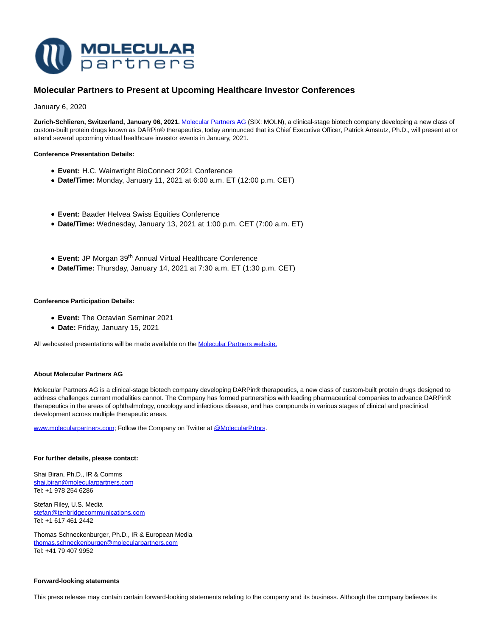

# **Molecular Partners to Present at Upcoming Healthcare Investor Conferences**

January 6, 2020

**Zurich-Schlieren, Switzerland, January 06, 2021.** [Molecular Partners AG \(](https://www.molecularpartners.com/)SIX: MOLN), a clinical-stage biotech company developing a new class of custom-built protein drugs known as DARPin® therapeutics, today announced that its Chief Executive Officer, Patrick Amstutz, Ph.D., will present at or attend several upcoming virtual healthcare investor events in January, 2021.

## **Conference Presentation Details:**

- **Event:** H.C. Wainwright BioConnect 2021 Conference
- **Date/Time:** Monday, January 11, 2021 at 6:00 a.m. ET (12:00 p.m. CET)
- **Event:** Baader Helvea Swiss Equities Conference
- **Date/Time:** Wednesday, January 13, 2021 at 1:00 p.m. CET (7:00 a.m. ET)
- **Event:** JP Morgan 39th Annual Virtual Healthcare Conference
- **Date/Time:** Thursday, January 14, 2021 at 7:30 a.m. ET (1:30 p.m. CET)

### **Conference Participation Details:**

- **Event:** The Octavian Seminar 2021
- **Date:** Friday, January 15, 2021

All webcasted presentations will be made available on the [Molecular Partners website.](https://investors.molecularpartners.com/investor-and-scientific-documents/presentations/)

#### **About Molecular Partners AG**

Molecular Partners AG is a clinical-stage biotech company developing DARPin® therapeutics, a new class of custom-built protein drugs designed to address challenges current modalities cannot. The Company has formed partnerships with leading pharmaceutical companies to advance DARPin® therapeutics in the areas of ophthalmology, oncology and infectious disease, and has compounds in various stages of clinical and preclinical development across multiple therapeutic areas.

[www.molecularpartners.com;](https://www.molecularpartners.com/) Follow the Company on Twitter a[t @MolecularPrtnrs.](https://twitter.com/MolecularPrtnrs)

#### **For further details, please contact:**

Shai Biran, Ph.D., IR & Comms [shai.biran@molecularpartners.com](mailto:shai.biran@molecularpartners.com) Tel: +1 978 254 6286

Stefan Riley, U.S. Media [stefan@tenbridgecommunications.com](mailto:stefan@tenbridgecommunications.com) Tel: +1 617 461 2442

Thomas Schneckenburger, Ph.D., IR & European Media [thomas.schneckenburger@molecularpartners.com](mailto:thomas.schneckenburger@molecularpartners.com) Tel: +41 79 407 9952

#### **Forward-looking statements**

This press release may contain certain forward-looking statements relating to the company and its business. Although the company believes its